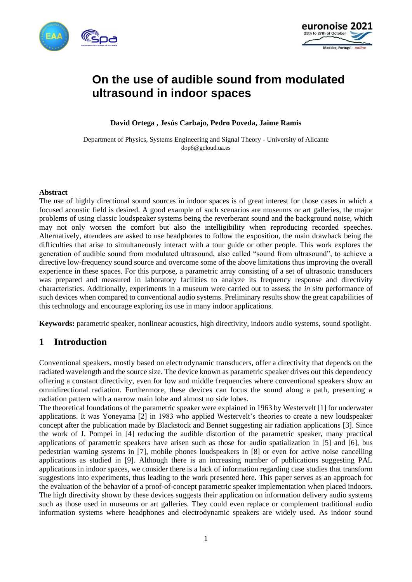



# **On the use of audible sound from modulated ultrasound in indoor spaces**

**David Ortega , Jesús Carbajo, Pedro Poveda, Jaime Ramis**

Department of Physics, Systems Engineering and Signal Theory - University of Alicante dop6@gcloud.ua.es

### **Abstract**

The use of highly directional sound sources in indoor spaces is of great interest for those cases in which a focused acoustic field is desired. A good example of such scenarios are museums or art galleries, the major problems of using classic loudspeaker systems being the reverberant sound and the background noise, which may not only worsen the comfort but also the intelligibility when reproducing recorded speeches. Alternatively, attendees are asked to use headphones to follow the exposition, the main drawback being the difficulties that arise to simultaneously interact with a tour guide or other people. This work explores the generation of audible sound from modulated ultrasound, also called "sound from ultrasound", to achieve a directive low-frequency sound source and overcome some of the above limitations thus improving the overall experience in these spaces. For this purpose, a parametric array consisting of a set of ultrasonic transducers was prepared and measured in laboratory facilities to analyze its frequency response and directivity characteristics. Additionally, experiments in a museum were carried out to assess the *in situ* performance of such devices when compared to conventional audio systems. Preliminary results show the great capabilities of this technology and encourage exploring its use in many indoor applications.

**Keywords:** parametric speaker, nonlinear acoustics, high directivity, indoors audio systems, sound spotlight.

# **1 Introduction**

Conventional speakers, mostly based on electrodynamic transducers, offer a directivity that depends on the radiated wavelength and the source size. The device known as parametric speaker drives out this dependency offering a constant directivity, even for low and middle frequencies where conventional speakers show an omnidirectional radiation. Furthermore, these devices can focus the sound along a path, presenting a radiation pattern with a narrow main lobe and almost no side lobes.

The theoretical foundations of the parametric speaker were explained in 1963 by Westervelt [1] for underwater applications. It was Yoneyama [2] in 1983 who applied Westervelt's theories to create a new loudspeaker concept after the publication made by Blackstock and Bennet suggesting air radiation applications [3]. Since the work of J. Pompei in [4] reducing the audible distortion of the parametric speaker, many practical applications of parametric speakers have arisen such as those for audio spatialization in [5] and [6], bus pedestrian warning systems in [7], mobile phones loudspeakers in [8] or even for active noise cancelling applications as studied in [9]. Although there is an increasing number of publications suggesting PAL applications in indoor spaces, we consider there is a lack of information regarding case studies that transform suggestions into experiments, thus leading to the work presented here. This paper serves as an approach for the evaluation of the behavior of a proof-of-concept parametric speaker implementation when placed indoors. The high directivity shown by these devices suggests their application on information delivery audio systems such as those used in museums or art galleries. They could even replace or complement traditional audio information systems where headphones and electrodynamic speakers are widely used. As indoor sound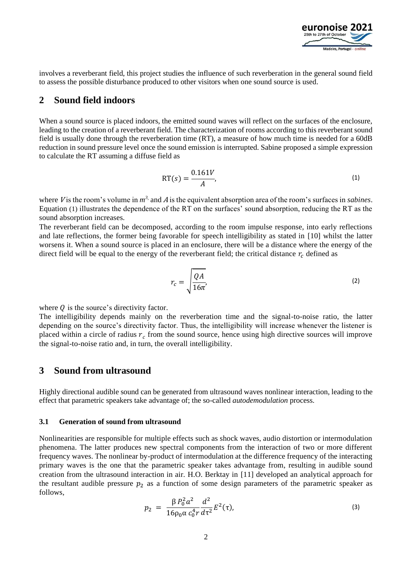<span id="page-1-0"></span>

involves a reverberant field, this project studies the influence of such reverberation in the general sound field to assess the possible disturbance produced to other visitors when one sound source is used.

## **2 Sound field indoors**

When a sound source is placed indoors, the emitted sound waves will reflect on the surfaces of the enclosure, leading to the creation of a reverberant field. The characterization of rooms according to this reverberant sound field is usually done through the reverberation time (RT), a measure of how much time is needed for a 60dB reduction in sound pressure level once the sound emission is interrupted. Sabine proposed a simple expression to calculate the RT assuming a diffuse field as

$$
RT(s) = \frac{0.161V}{A},\tag{1}
$$

where *V* is the room's volume in  $m^3$ , and *A* is the equivalent absorption area of the room's surfaces in *sabines*. Equation [\(1\)](#page-1-0) illustrates the dependence of the RT on the surfaces' sound absorption, reducing the RT as the sound absorption increases.

The reverberant field can be decomposed, according to the room impulse response, into early reflections and late reflections, the former being favorable for speech intelligibility as stated in [10] whilst the latter worsens it. When a sound source is placed in an enclosure, there will be a distance where the energy of the direct field will be equal to the energy of the reverberant field; the critical distance  $r_c$  defined as

$$
r_c = \sqrt{\frac{QA}{16\pi'}}
$$
 (2)

where  $Q$  is the source's directivity factor.

The intelligibility depends mainly on the reverberation time and the signal-to-noise ratio, the latter depending on the source's directivity factor. Thus, the intelligibility will increase whenever the listener is placed within a circle of radius  $r_c$  from the sound source, hence using high directive sources will improve the signal-to-noise ratio and, in turn, the overall intelligibility.

## **3 Sound from ultrasound**

Highly directional audible sound can be generated from ultrasound waves nonlinear interaction, leading to the effect that parametric speakers take advantage of; the so-called *autodemodulation* process.

### **3.1 Generation of sound from ultrasound**

Nonlinearities are responsible for multiple effects such as shock waves, audio distortion or intermodulation phenomena. The latter produces new spectral components from the interaction of two or more different frequency waves. The nonlinear by-product of intermodulation at the difference frequency of the interacting primary waves is the one that the parametric speaker takes advantage from, resulting in audible sound creation from the ultrasound interaction in air. H.O. Berktay in [11] developed an analytical approach for the resultant audible pressure  $p_2$  as a function of some design parameters of the parametric speaker as follows,

<span id="page-1-1"></span>
$$
p_2 = \frac{\beta P_0^2 a^2}{16 \rho_0 \alpha c_0^4 r} \frac{d^2}{d\tau^2} E^2(\tau), \tag{3}
$$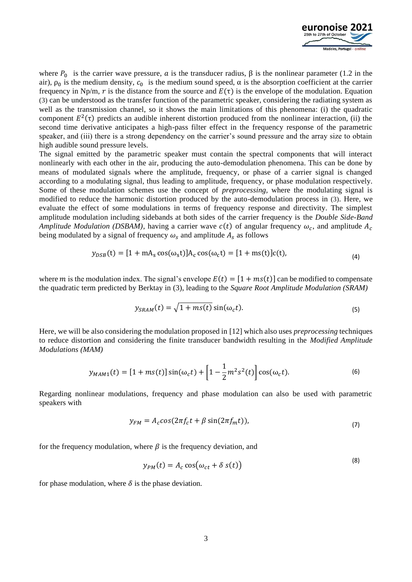

 $(0)$ 

where  $P_0$  is the carrier wave pressure,  $\alpha$  is the transducer radius,  $\beta$  is the nonlinear parameter (1.2 in the air),  $\rho_0$  is the medium density,  $c_0$  is the medium sound speed,  $\alpha$  is the absorption coefficient at the carrier frequency in Np/m, r is the distance from the source and  $E(\tau)$  is the envelope of the modulation. Equation [\(3\)](#page-1-1) can be understood as the transfer function of the parametric speaker, considering the radiating system as well as the transmission channel, so it shows the main limitations of this phenomena: (i) the quadratic component  $E^2(\tau)$  predicts an audible inherent distortion produced from the nonlinear interaction, (ii) the second time derivative anticipates a high-pass filter effect in the frequency response of the parametric speaker, and (iii) there is a strong dependency on the carrier's sound pressure and the array size to obtain high audible sound pressure levels.

The signal emitted by the parametric speaker must contain the spectral components that will interact nonlinearly with each other in the air, producing the auto-demodulation phenomena. This can be done by means of modulated signals where the amplitude, frequency, or phase of a carrier signal is changed according to a modulating signal, thus leading to amplitude, frequency, or phase modulation respectively. Some of these modulation schemes use the concept of *preprocessing,* where the modulating signal is modified to reduce the harmonic distortion produced by the auto-demodulation process in [\(3\)](#page-1-1). Here, we evaluate the effect of some modulations in terms of frequency response and directivity. The simplest amplitude modulation including sidebands at both sides of the carrier frequency is the *Double Side-Band Amplitude Modulation (DSBAM)*, having a carrier wave  $c(t)$  of angular frequency  $\omega_c$ , and amplitude  $A_c$ being modulated by a signal of frequency  $\omega_s$  and amplitude  $A_s$  as follows

$$
y_{DSB}(t) = [1 + mA_s \cos(\omega_s t)]A_c \cos(\omega_c t) = [1 + ms(t)]c(t),
$$
\n(4)

where *m* is the modulation index. The signal's envelope  $E(t) = [1 + ms(t)]$  can be modified to compensate the quadratic term predicted by Berktay in [\(3\),](#page-1-1) leading to the *Square Root Amplitude Modulation (SRAM)*

$$
y_{SRAM}(t) = \sqrt{1 + ms(t)} \sin(\omega_c t). \tag{5}
$$

Here, we will be also considering the modulation proposed in [12] which also uses *preprocessing* techniques to reduce distortion and considering the finite transducer bandwidth resulting in the *Modified Amplitude Modulations (MAM)* 

$$
y_{MAM1}(t) = [1 + ms(t)]\sin(\omega_c t) + \left[1 - \frac{1}{2}m^2 s^2(t)\right] \cos(\omega_c t). \tag{6}
$$

Regarding nonlinear modulations, frequency and phase modulation can also be used with parametric speakers with

$$
y_{FM} = A_c \cos(2\pi f_c t + \beta \sin(2\pi f_m t)), \tag{7}
$$

for the frequency modulation, where  $\beta$  is the frequency deviation, and

$$
y_{PM}(t) = A_c \cos(\omega_{ct} + \delta s(t))
$$

for phase modulation, where  $\delta$  is the phase deviation.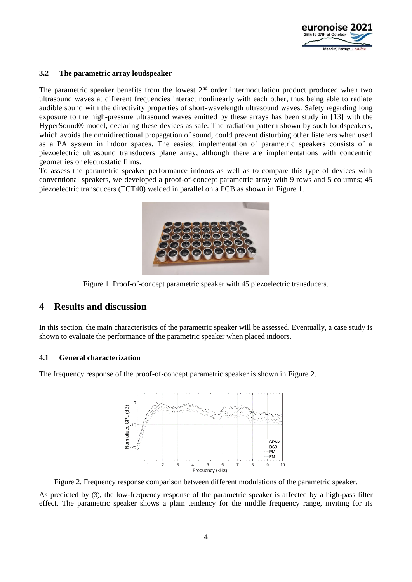

## **3.2 The parametric array loudspeaker**

The parametric speaker benefits from the lowest  $2<sup>nd</sup>$  order intermodulation product produced when two ultrasound waves at different frequencies interact nonlinearly with each other, thus being able to radiate audible sound with the directivity properties of short-wavelength ultrasound waves. Safety regarding long exposure to the high-pressure ultrasound waves emitted by these arrays has been study in [13] with the HyperSound® model, declaring these devices as safe. The radiation pattern shown by such loudspeakers, which avoids the omnidirectional propagation of sound, could prevent disturbing other listeners when used as a PA system in indoor spaces. The easiest implementation of parametric speakers consists of a piezoelectric ultrasound transducers plane array, although there are implementations with concentric geometries or electrostatic films.

To assess the parametric speaker performance indoors as well as to compare this type of devices with conventional speakers, we developed a proof-of-concept parametric array with 9 rows and 5 columns; 45 piezoelectric transducers (TCT40) welded in parallel on a PCB as shown in [Figure 1.](#page-3-0)



Figure 1. Proof-of-concept parametric speaker with 45 piezoelectric transducers.

## <span id="page-3-0"></span>**4 Results and discussion**

In this section, the main characteristics of the parametric speaker will be assessed. Eventually, a case study is shown to evaluate the performance of the parametric speaker when placed indoors.

#### **4.1 General characterization**

The frequency response of the proof-of-concept parametric speaker is shown in [Figure 2.](#page-3-1)



<span id="page-3-1"></span>Figure 2. Frequency response comparison between different modulations of the parametric speaker.

As predicted by [\(3\)](#page-1-1), the low-frequency response of the parametric speaker is affected by a high-pass filter effect. The parametric speaker shows a plain tendency for the middle frequency range, inviting for its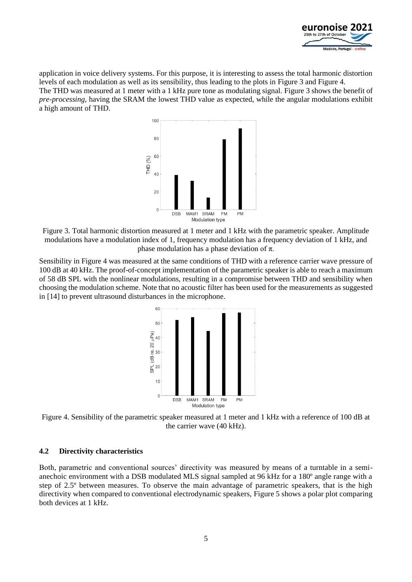

application in voice delivery systems. For this purpose, it is interesting to assess the total harmonic distortion levels of each modulation as well as its sensibility, thus leading to the plots in [Figure 3](#page-4-0) an[d Figure 4.](#page-4-1) The THD was measured at 1 meter with a 1 kHz pure tone as modulating signal[. Figure 3](#page-4-0) shows the benefit of *pre-processing,* having the SRAM the lowest THD value as expected, while the angular modulations exhibit a high amount of THD.



<span id="page-4-0"></span>Figure 3. Total harmonic distortion measured at 1 meter and 1 kHz with the parametric speaker. Amplitude modulations have a modulation index of 1, frequency modulation has a frequency deviation of 1 kHz, and phase modulation has a phase deviation of  $\pi$ .

Sensibility i[n Figure 4](#page-4-1) was measured at the same conditions of THD with a reference carrier wave pressure of 100 dB at 40 kHz. The proof-of-concept implementation of the parametric speaker is able to reach a maximum of 58 dB SPL with the nonlinear modulations, resulting in a compromise between THD and sensibility when choosing the modulation scheme. Note that no acoustic filter has been used for the measurements as suggested in [14] to prevent ultrasound disturbances in the microphone.



<span id="page-4-1"></span>Figure 4. Sensibility of the parametric speaker measured at 1 meter and 1 kHz with a reference of 100 dB at the carrier wave (40 kHz).

#### **4.2 Directivity characteristics**

Both, parametric and conventional sources' directivity was measured by means of a turntable in a semianechoic environment with a DSB modulated MLS signal sampled at 96 kHz for a 180º angle range with a step of 2.5º between measures. To observe the main advantage of parametric speakers, that is the high directivity when compared to conventional electrodynamic speakers, [Figure 5](#page-5-0) shows a polar plot comparing both devices at 1 kHz.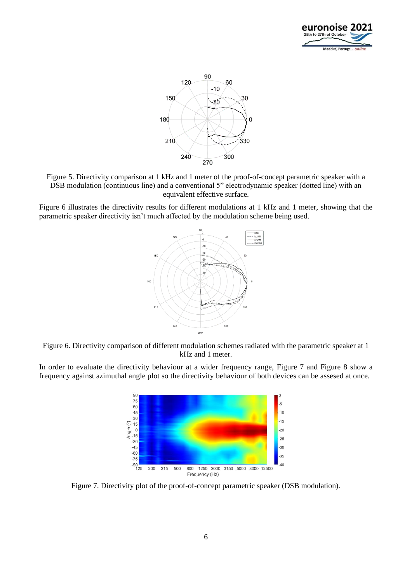



<span id="page-5-0"></span>Figure 5. Directivity comparison at 1 kHz and 1 meter of the proof-of-concept parametric speaker with a DSB modulation (continuous line) and a conventional 5" electrodynamic speaker (dotted line) with an equivalent effective surface.

[Figure 6](#page-5-1) illustrates the directivity results for different modulations at 1 kHz and 1 meter, showing that the parametric speaker directivity isn't much affected by the modulation scheme being used.



<span id="page-5-1"></span>Figure 6. Directivity comparison of different modulation schemes radiated with the parametric speaker at 1 kHz and 1 meter.

In order to evaluate the directivity behaviour at a wider frequency range, [Figure 7](#page-5-2) and [Figure 8](#page-6-0) show a frequency against azimuthal angle plot so the directivity behaviour of both devices can be assesed at once.



<span id="page-5-2"></span>Figure 7. Directivity plot of the proof-of-concept parametric speaker (DSB modulation).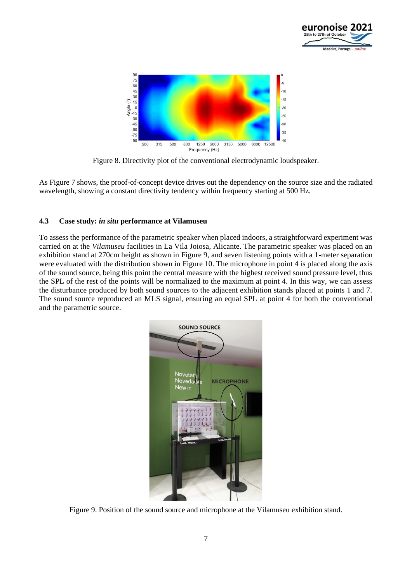



Figure 8. Directivity plot of the conventional electrodynamic loudspeaker.

<span id="page-6-0"></span>As [Figure 7](#page-5-2) shows, the proof-of-concept device drives out the dependency on the source size and the radiated wavelength, showing a constant directivity tendency within frequency starting at 500 Hz.

## **4.3 Case study:** *in situ* **performance at Vilamuseu**

To assess the performance of the parametric speaker when placed indoors, a straightforward experiment was carried on at the *Vilamuseu* facilities in La Vila Joiosa, Alicante. The parametric speaker was placed on an exhibition stand at 270cm height as shown in [Figure 9,](#page-6-1) and seven listening points with a 1-meter separation were evaluated with the distribution shown in [Figure 10.](#page-7-0) The microphone in point 4 is placed along the axis of the sound source, being this point the central measure with the highest received sound pressure level, thus the SPL of the rest of the points will be normalized to the maximum at point 4. In this way, we can assess the disturbance produced by both sound sources to the adjacent exhibition stands placed at points 1 and 7. The sound source reproduced an MLS signal, ensuring an equal SPL at point 4 for both the conventional and the parametric source.

<span id="page-6-1"></span>

Figure 9. Position of the sound source and microphone at the Vilamuseu exhibition stand.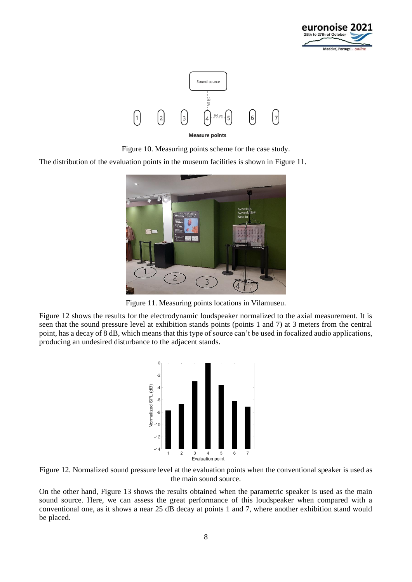



**Measure points** 

Figure 10. Measuring points scheme for the case study.

<span id="page-7-0"></span>The distribution of the evaluation points in the museum facilities is shown in [Figure 11.](#page-7-1)



Figure 11. Measuring points locations in Vilamuseu.

<span id="page-7-1"></span>[Figure 12](#page-7-2) shows the results for the electrodynamic loudspeaker normalized to the axial measurement. It is seen that the sound pressure level at exhibition stands points (points 1 and 7) at 3 meters from the central point, has a decay of 8 dB, which means that this type of source can't be used in focalized audio applications, producing an undesired disturbance to the adjacent stands.



<span id="page-7-2"></span>

On the other hand, [Figure 13](#page-8-0) shows the results obtained when the parametric speaker is used as the main sound source. Here, we can assess the great performance of this loudspeaker when compared with a conventional one, as it shows a near 25 dB decay at points 1 and 7, where another exhibition stand would be placed.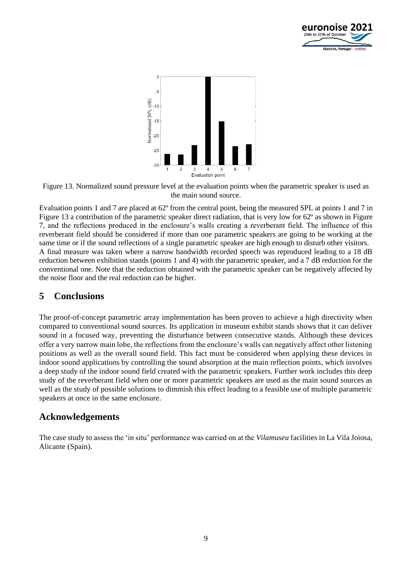



<span id="page-8-0"></span>Figure 13. Normalized sound pressure level at the evaluation points when the parametric speaker is used as the main sound source.

Evaluation points 1 and 7 are placed at 62º from the central point, being the measured SPL at points 1 and 7 in [Figure 13](#page-8-0) a contribution of the parametric speaker direct radiation, that is very low for 62° as shown in Figure [7,](#page-5-2) and the reflections produced in the enclosure's walls creating a reverberant field. The influence of this reverberant field should be considered if more than one parametric speakers are going to be working at the same time or if the sound reflections of a single parametric speaker are high enough to disturb other visitors. A final measure was taken where a narrow bandwidth recorded speech was reproduced leading to a 18 dB reduction between exhibition stands (points 1 and 4) with the parametric speaker, and a 7 dB reduction for the conventional one. Note that the reduction obtained with the parametric speaker can be negatively affected by the noise floor and the real reduction can be higher.

# **5 Conclusions**

The proof-of-concept parametric array implementation has been proven to achieve a high directivity when compared to conventional sound sources. Its application in museum exhibit stands shows that it can deliver sound in a focused way, preventing the disturbance between consecutive stands. Although these devices offer a very narrow main lobe, the reflections from the enclosure's walls can negatively affect other listening positions as well as the overall sound field. This fact must be considered when applying these devices in indoor sound applications by controlling the sound absorption at the main reflection points, which involves a deep study of the indoor sound field created with the parametric speakers. Further work includes this deep study of the reverberant field when one or more parametric speakers are used as the main sound sources as well as the study of possible solutions to dimmish this effect leading to a feasible use of multiple parametric speakers at once in the same enclosure.

# **Acknowledgements**

The case study to assess the 'in situ' performance was carried on at the *Vilamuseu* facilities in La Vila Joiosa, Alicante (Spain).